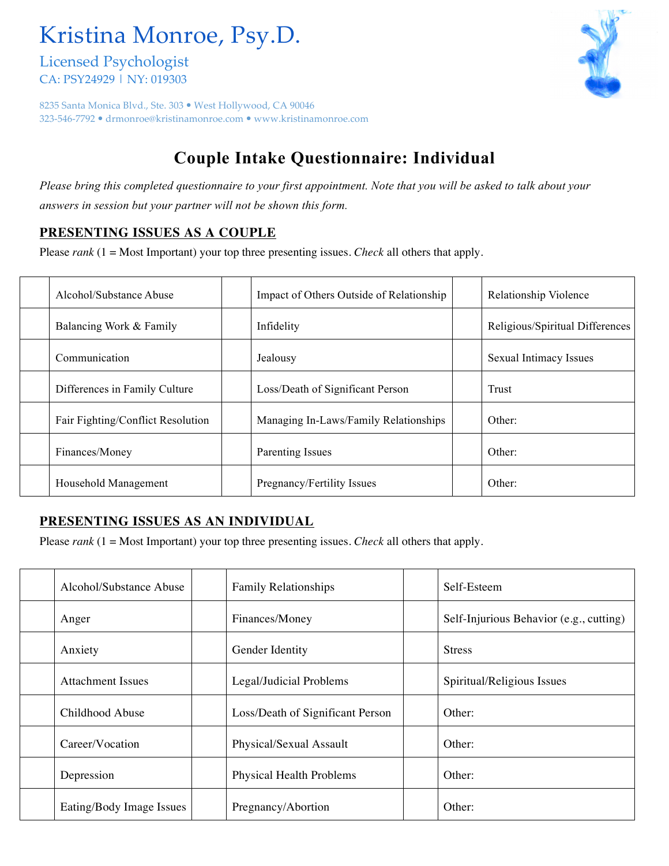Kristina Monroe, Psy.D. Licensed Psychologist

CA: PSY24929 | NY: 019303

8235 Santa Monica Blvd., Ste. 303 · West Hollywood, CA 90046 323-546-7792 drmonroe@kristinamonroe.com www.kristinamonroe.com

## **Couple Intake Questionnaire: Individual**

*Please bring this completed questionnaire to your first appointment. Note that you will be asked to talk about your answers in session but your partner will not be shown this form.* 

## **PRESENTING ISSUES AS A COUPLE**

Please *rank* (1 = Most Important) your top three presenting issues. *Check* all others that apply.

| Alcohol/Substance Abuse           | Impact of Others Outside of Relationship | <b>Relationship Violence</b>    |
|-----------------------------------|------------------------------------------|---------------------------------|
| Balancing Work & Family           | Infidelity                               | Religious/Spiritual Differences |
| Communication                     | Jealousy                                 | Sexual Intimacy Issues          |
| Differences in Family Culture     | Loss/Death of Significant Person         | Trust                           |
| Fair Fighting/Conflict Resolution | Managing In-Laws/Family Relationships    | Other:                          |
| Finances/Money                    | Parenting Issues                         | Other:                          |
| Household Management              | Pregnancy/Fertility Issues               | Other:                          |

## **PRESENTING ISSUES AS AN INDIVIDUAL**

Please *rank* (1 = Most Important) your top three presenting issues. *Check* all others that apply.

| Alcohol/Substance Abuse  | <b>Family Relationships</b>      | Self-Esteem                             |
|--------------------------|----------------------------------|-----------------------------------------|
| Anger                    | Finances/Money                   | Self-Injurious Behavior (e.g., cutting) |
| Anxiety                  | Gender Identity                  | <b>Stress</b>                           |
| <b>Attachment Issues</b> | Legal/Judicial Problems          | Spiritual/Religious Issues              |
| Childhood Abuse          | Loss/Death of Significant Person | Other:                                  |
| Career/Vocation          | Physical/Sexual Assault          | Other:                                  |
| Depression               | Physical Health Problems         | Other:                                  |
| Eating/Body Image Issues | Pregnancy/Abortion               | Other:                                  |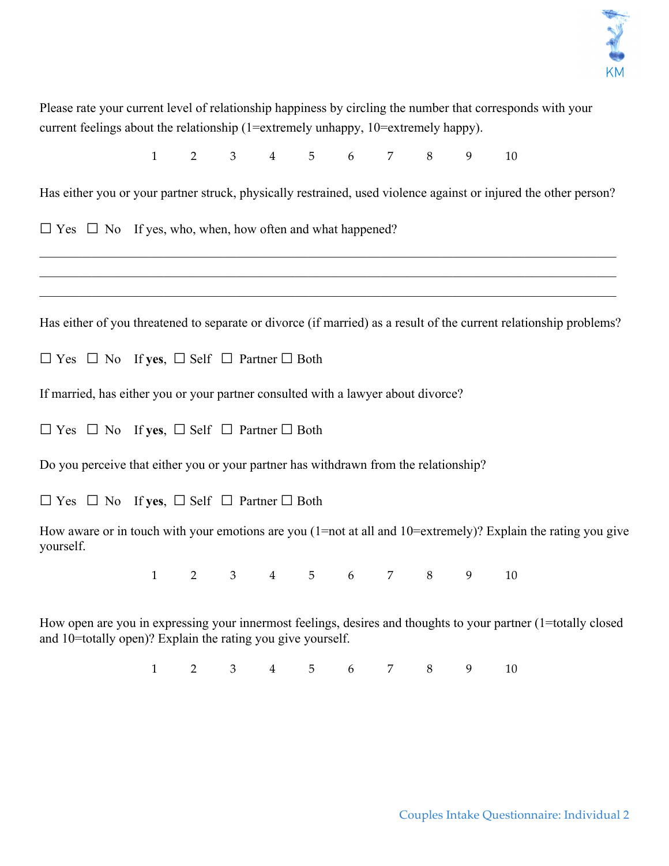

| Please rate your current level of relationship happiness by circling the number that corresponds with your<br>current feelings about the relationship (1=extremely unhappy, 10=extremely happy). |              |   |   |                                                                    |   |   |   |   |   |    |  |
|--------------------------------------------------------------------------------------------------------------------------------------------------------------------------------------------------|--------------|---|---|--------------------------------------------------------------------|---|---|---|---|---|----|--|
|                                                                                                                                                                                                  | $\mathbf{1}$ |   |   | $2 \qquad 3 \qquad 4 \qquad 5 \qquad 6 \qquad 7 \qquad 8 \qquad 9$ |   |   |   |   |   | 10 |  |
| Has either you or your partner struck, physically restrained, used violence against or injured the other person?                                                                                 |              |   |   |                                                                    |   |   |   |   |   |    |  |
| $\Box$ Yes $\Box$ No If yes, who, when, how often and what happened?                                                                                                                             |              |   |   |                                                                    |   |   |   |   |   |    |  |
|                                                                                                                                                                                                  |              |   |   |                                                                    |   |   |   |   |   |    |  |
| Has either of you threatened to separate or divorce (if married) as a result of the current relationship problems?                                                                               |              |   |   |                                                                    |   |   |   |   |   |    |  |
| $\Box$ Yes $\Box$ No If yes, $\Box$ Self $\Box$ Partner $\Box$ Both                                                                                                                              |              |   |   |                                                                    |   |   |   |   |   |    |  |
| If married, has either you or your partner consulted with a lawyer about divorce?                                                                                                                |              |   |   |                                                                    |   |   |   |   |   |    |  |
| $\Box$ Yes $\Box$ No If yes, $\Box$ Self $\Box$ Partner $\Box$ Both                                                                                                                              |              |   |   |                                                                    |   |   |   |   |   |    |  |
| Do you perceive that either you or your partner has withdrawn from the relationship?                                                                                                             |              |   |   |                                                                    |   |   |   |   |   |    |  |
| $\Box$ Yes $\Box$ No If yes, $\Box$ Self $\Box$ Partner $\Box$ Both                                                                                                                              |              |   |   |                                                                    |   |   |   |   |   |    |  |
| How aware or in touch with your emotions are you (1=not at all and 10=extremely)? Explain the rating you give<br>yourself.                                                                       |              |   |   |                                                                    |   |   |   |   |   |    |  |
|                                                                                                                                                                                                  | $\mathbf{1}$ |   |   | $2 \qquad 3 \qquad 4 \qquad 5 \qquad 6 \qquad 7 \qquad 8$          |   |   |   |   | 9 | 10 |  |
| How open are you in expressing your innermost feelings, desires and thoughts to your partner (1=totally closed<br>and 10=totally open)? Explain the rating you give yourself.                    |              |   |   |                                                                    |   |   |   |   |   |    |  |
|                                                                                                                                                                                                  | 1            | 2 | 3 |                                                                    | 5 | 6 | 7 | 8 | 9 | 10 |  |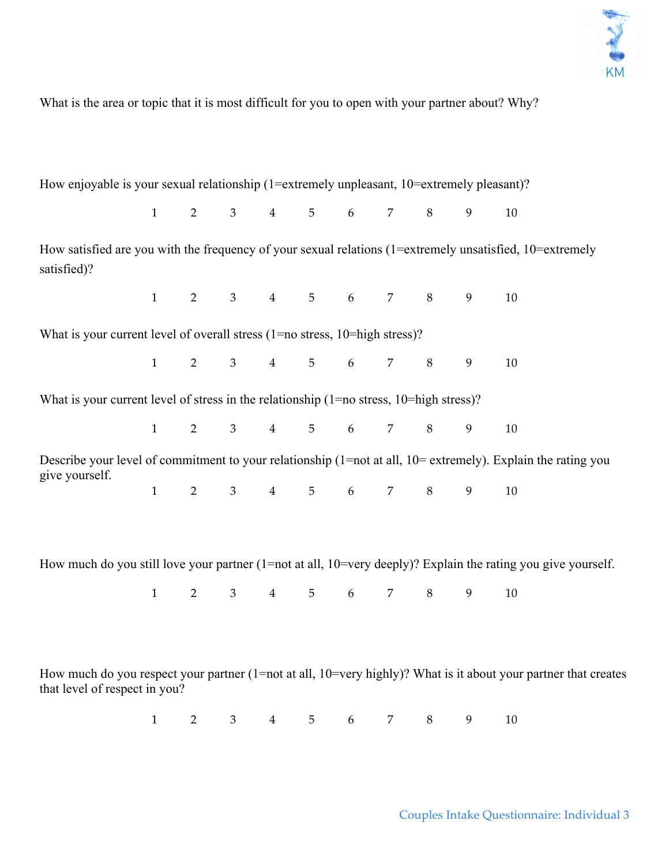

What is the area or topic that it is most difficult for you to open with your partner about? Why?

| How enjoyable is your sexual relationship (1=extremely unpleasant, 10=extremely pleasant)?                              |              |                |                       |                 |                                                  |                 |                |        |                |                                                                                                              |
|-------------------------------------------------------------------------------------------------------------------------|--------------|----------------|-----------------------|-----------------|--------------------------------------------------|-----------------|----------------|--------|----------------|--------------------------------------------------------------------------------------------------------------|
|                                                                                                                         | $\mathbf{1}$ | $\overline{2}$ | $3^{\circ}$           | $4\overline{ }$ | 5 <sup>5</sup>                                   | $6\overline{6}$ | 7              | 8      | 9              | 10                                                                                                           |
| How satisfied are you with the frequency of your sexual relations (1=extremely unsatisfied, 10=extremely<br>satisfied)? |              |                |                       |                 |                                                  |                 |                |        |                |                                                                                                              |
|                                                                                                                         | $\mathbf{1}$ | $\overline{2}$ |                       |                 | $3 \t 4 \t 5 \t 6$                               |                 | $7\degree$     | 8      | 9              | 10                                                                                                           |
| What is your current level of overall stress $(1=no$ stress, $10=high$ stress)?                                         |              |                |                       |                 |                                                  |                 |                |        |                |                                                                                                              |
|                                                                                                                         | $\mathbf{1}$ |                | $2 \qquad 3 \qquad 4$ |                 |                                                  | $5\qquad 6$     | 7 <sup>7</sup> | $\, 8$ | 9              | 10                                                                                                           |
| What is your current level of stress in the relationship $(1=no$ stress, $10=high$ stress)?                             |              |                |                       |                 |                                                  |                 |                |        |                |                                                                                                              |
|                                                                                                                         |              |                |                       |                 | $1 \qquad 2 \qquad 3 \qquad 4 \qquad 5 \qquad 6$ |                 | 7              | 8      | 9              | 10                                                                                                           |
| give yourself.                                                                                                          |              |                |                       |                 |                                                  |                 |                |        |                | Describe your level of commitment to your relationship (1=not at all, 10= extremely). Explain the rating you |
|                                                                                                                         | $\mathbf{1}$ | $\overline{2}$ | 3 <sup>7</sup>        |                 | $4 \quad 5 \quad 6$                              |                 | 7 8            |        | $\overline{9}$ | 10                                                                                                           |
|                                                                                                                         |              |                |                       |                 |                                                  |                 |                |        |                |                                                                                                              |
| How much do you still love your partner (1=not at all, 10=very deeply)? Explain the rating you give yourself.           |              |                |                       |                 |                                                  |                 |                |        |                |                                                                                                              |
|                                                                                                                         | $\mathbf{1}$ | $\overline{2}$ | 3 <sup>7</sup>        | $4\overline{ }$ | 5 <sup>5</sup>                                   | $6\overline{6}$ | $7\degree$     | 8      | 9              | 10                                                                                                           |
|                                                                                                                         |              |                |                       |                 |                                                  |                 |                |        |                |                                                                                                              |
|                                                                                                                         |              |                |                       |                 |                                                  |                 |                |        |                |                                                                                                              |

How much do you respect your partner (1=not at all, 10=very highly)? What is it about your partner that creates that level of respect in you?

1 2 3 4 5 6 7 8 9 10